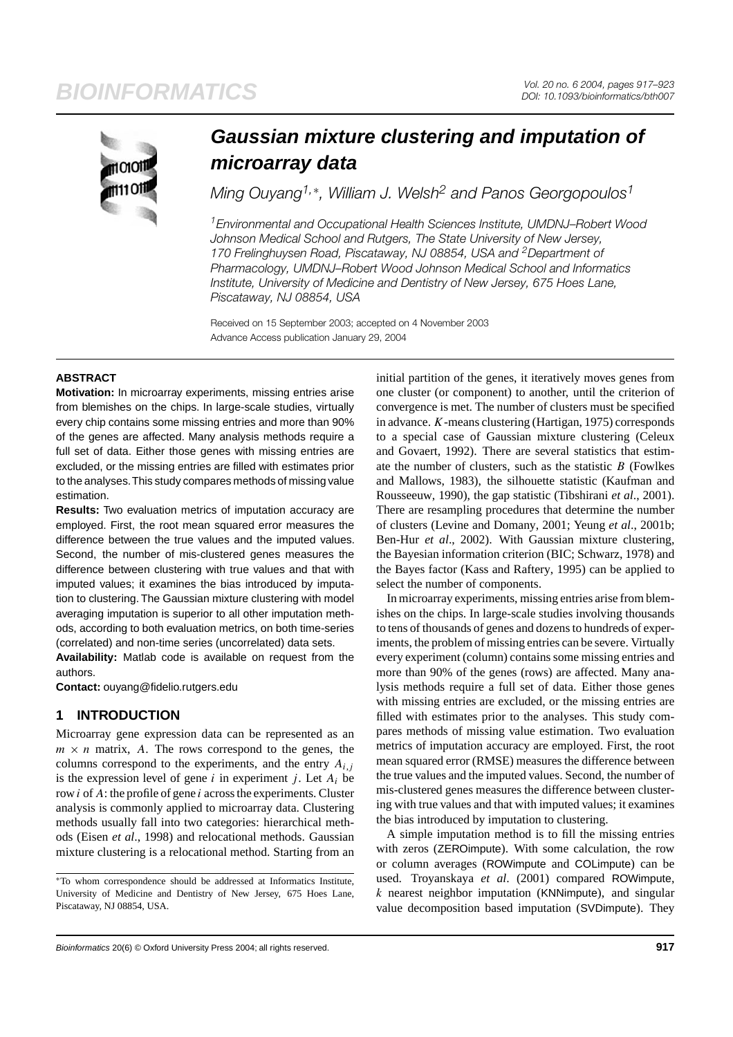

# **Gaussian mixture clustering and imputation of microarray data**

*Ming Ouyang1,*∗*, William J. Welsh2 and Panos Georgopoulos1*

*1Environmental and Occupational Health Sciences Institute, UMDNJ–Robert Wood Johnson Medical School and Rutgers, The State University of New Jersey, 170 Frelinghuysen Road, Piscataway, NJ 08854, USA and 2Department of Pharmacology, UMDNJ–Robert Wood Johnson Medical School and Informatics Institute, University of Medicine and Dentistry of New Jersey, 675 Hoes Lane, Piscataway, NJ 08854, USA*

Received on 15 September 2003; accepted on 4 November 2003 Advance Access publication January 29, 2004

## **ABSTRACT**

**Motivation:** In microarray experiments, missing entries arise from blemishes on the chips. In large-scale studies, virtually every chip contains some missing entries and more than 90% of the genes are affected. Many analysis methods require a full set of data. Either those genes with missing entries are excluded, or the missing entries are filled with estimates prior to the analyses.This study compares methods of missing value estimation.

**Results:** Two evaluation metrics of imputation accuracy are employed. First, the root mean squared error measures the difference between the true values and the imputed values. Second, the number of mis-clustered genes measures the difference between clustering with true values and that with imputed values; it examines the bias introduced by imputation to clustering. The Gaussian mixture clustering with model averaging imputation is superior to all other imputation methods, according to both evaluation metrics, on both time-series (correlated) and non-time series (uncorrelated) data sets.

**Availability:** Matlab code is available on request from the authors.

**Contact:** ouyang@fidelio.rutgers.edu

# **1 INTRODUCTION**

Microarray gene expression data can be represented as an  $m \times n$  matrix, A. The rows correspond to the genes, the columns correspond to the experiments, and the entry  $A_{i,j}$ is the expression level of gene  $i$  in experiment  $j$ . Let  $A_i$  be row *i* of *A*: the profile of gene *i* across the experiments. Cluster analysis is commonly applied to microarray data. Clustering methods usually fall into two categories: hierarchical methods (Eisen *et al*., 1998) and relocational methods. Gaussian mixture clustering is a relocational method. Starting from an initial partition of the genes, it iteratively moves genes from one cluster (or component) to another, until the criterion of convergence is met. The number of clusters must be specified in advance. *K*-means clustering (Hartigan, 1975) corresponds to a special case of Gaussian mixture clustering (Celeux and Govaert, 1992). There are several statistics that estimate the number of clusters, such as the statistic *B* (Fowlkes and Mallows, 1983), the silhouette statistic (Kaufman and Rousseeuw, 1990), the gap statistic (Tibshirani *et al*., 2001). There are resampling procedures that determine the number of clusters (Levine and Domany, 2001; Yeung *et al*., 2001b; Ben-Hur *et al*., 2002). With Gaussian mixture clustering, the Bayesian information criterion (BIC; Schwarz, 1978) and the Bayes factor (Kass and Raftery, 1995) can be applied to select the number of components.

In microarray experiments, missing entries arise from blemishes on the chips. In large-scale studies involving thousands to tens of thousands of genes and dozens to hundreds of experiments, the problem of missing entries can be severe. Virtually every experiment (column) contains some missing entries and more than 90% of the genes (rows) are affected. Many analysis methods require a full set of data. Either those genes with missing entries are excluded, or the missing entries are filled with estimates prior to the analyses. This study compares methods of missing value estimation. Two evaluation metrics of imputation accuracy are employed. First, the root mean squared error (RMSE) measures the difference between the true values and the imputed values. Second, the number of mis-clustered genes measures the difference between clustering with true values and that with imputed values; it examines the bias introduced by imputation to clustering.

A simple imputation method is to fill the missing entries with zeros (ZEROimpute). With some calculation, the row or column averages (ROWimpute and COLimpute) can be used. Troyanskaya *et al*. (2001) compared ROWimpute, *k* nearest neighbor imputation (KNNimpute), and singular value decomposition based imputation (SVDimpute). They

<sup>∗</sup>To whom correspondence should be addressed at Informatics Institute, University of Medicine and Dentistry of New Jersey, 675 Hoes Lane, Piscataway, NJ 08854, USA.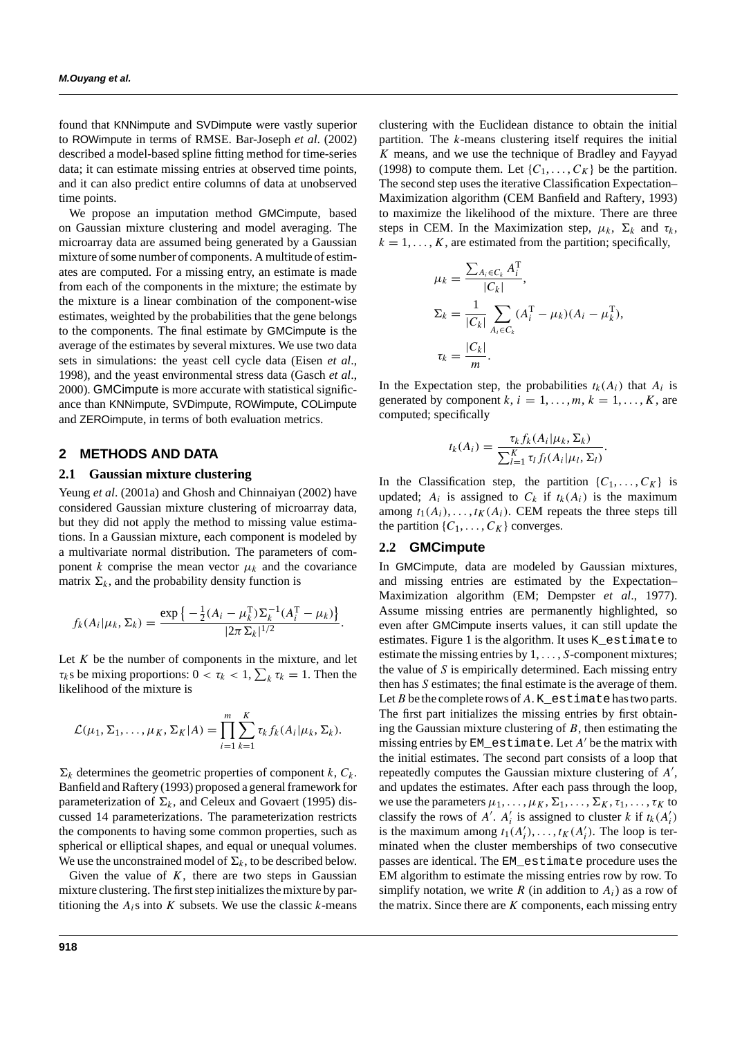found that KNNimpute and SVDimpute were vastly superior to ROWimpute in terms of RMSE. Bar-Joseph *et al*. (2002) described a model-based spline fitting method for time-series data; it can estimate missing entries at observed time points, and it can also predict entire columns of data at unobserved time points.

We propose an imputation method GMCimpute, based on Gaussian mixture clustering and model averaging. The microarray data are assumed being generated by a Gaussian mixture of some number of components. A multitude of estimates are computed. For a missing entry, an estimate is made from each of the components in the mixture; the estimate by the mixture is a linear combination of the component-wise estimates, weighted by the probabilities that the gene belongs to the components. The final estimate by GMCimpute is the average of the estimates by several mixtures. We use two data sets in simulations: the yeast cell cycle data (Eisen *et al*., 1998), and the yeast environmental stress data (Gasch *et al*., 2000). GMCimpute is more accurate with statistical significance than KNNimpute, SVDimpute, ROWimpute, COLimpute and ZEROimpute, in terms of both evaluation metrics.

## **2 METHODS AND DATA**

## **2.1 Gaussian mixture clustering**

Yeung *et al*. (2001a) and Ghosh and Chinnaiyan (2002) have considered Gaussian mixture clustering of microarray data, but they did not apply the method to missing value estimations. In a Gaussian mixture, each component is modeled by a multivariate normal distribution. The parameters of component *k* comprise the mean vector  $\mu_k$  and the covariance matrix  $\Sigma_k$ , and the probability density function is

$$
f_k(A_i|\mu_k, \Sigma_k) = \frac{\exp\left\{-\frac{1}{2}(A_i - \mu_k^{\mathrm{T}})\Sigma_k^{-1}(A_i^{\mathrm{T}} - \mu_k)\right\}}{|2\pi \Sigma_k|^{1/2}}.
$$

Let  $K$  be the number of components in the mixture, and let *τ*<sub>*k*</sub> s be mixing proportions:  $0 < \tau_k < 1$ ,  $\sum_k \tau_k = 1$ . Then the likelihood of the mixture is

$$
\mathcal{L}(\mu_1, \Sigma_1, \ldots, \mu_K, \Sigma_K | A) = \prod_{i=1}^m \sum_{k=1}^K \tau_k f_k(A_i | \mu_k, \Sigma_k).
$$

 $\Sigma_k$  determines the geometric properties of component *k*,  $C_k$ . Banfield and Raftery (1993) proposed a general framework for parameterization of  $\Sigma_k$ , and Celeux and Govaert (1995) discussed 14 parameterizations. The parameterization restricts the components to having some common properties, such as spherical or elliptical shapes, and equal or unequal volumes. We use the unconstrained model of  $\Sigma_k$ , to be described below.

Given the value of  $K$ , there are two steps in Gaussian mixture clustering. The first step initializes the mixture by partitioning the  $A_i$ s into  $K$  subsets. We use the classic  $k$ -means clustering with the Euclidean distance to obtain the initial partition. The *k*-means clustering itself requires the initial *K* means, and we use the technique of Bradley and Fayyad (1998) to compute them. Let  $\{C_1, \ldots, C_K\}$  be the partition. The second step uses the iterative Classification Expectation– Maximization algorithm (CEM Banfield and Raftery, 1993) to maximize the likelihood of the mixture. There are three steps in CEM. In the Maximization step,  $\mu_k$ ,  $\Sigma_k$  and  $\tau_k$ ,  $k = 1, \ldots, K$ , are estimated from the partition; specifically,

$$
\mu_k = \frac{\sum_{A_i \in C_k} A_i^{\mathrm{T}}}{|C_k|},
$$
  
\n
$$
\Sigma_k = \frac{1}{|C_k|} \sum_{A_i \in C_k} (A_i^{\mathrm{T}} - \mu_k)(A_i - \mu_k^{\mathrm{T}}),
$$
  
\n
$$
\tau_k = \frac{|C_k|}{m}.
$$

In the Expectation step, the probabilities  $t_k(A_i)$  that  $A_i$  is generated by component  $k$ ,  $i = 1, \ldots, m$ ,  $k = 1, \ldots, K$ , are computed; specifically

$$
t_k(A_i) = \frac{\tau_k f_k(A_i | \mu_k, \Sigma_k)}{\sum_{l=1}^K \tau_l f_l(A_i | \mu_l, \Sigma_l)}
$$

.

In the Classification step, the partition  $\{C_1, \ldots, C_K\}$  is updated;  $A_i$  is assigned to  $C_k$  if  $t_k(A_i)$  is the maximum among  $t_1(A_i), \ldots, t_K(A_i)$ . CEM repeats the three steps till the partition  $\{C_1, \ldots, C_K\}$  converges.

## **2.2 GMCimpute**

In GMCimpute, data are modeled by Gaussian mixtures, and missing entries are estimated by the Expectation– Maximization algorithm (EM; Dempster *et al*., 1977). Assume missing entries are permanently highlighted, so even after GMCimpute inserts values, it can still update the estimates. Figure 1 is the algorithm. It uses K\_estimate to estimate the missing entries by 1, *...* , *S*-component mixtures; the value of *S* is empirically determined. Each missing entry then has *S* estimates; the final estimate is the average of them. Let *B* be the complete rows of *A*. K\_estimate has two parts. The first part initializes the missing entries by first obtaining the Gaussian mixture clustering of *B*, then estimating the missing entries by EM\_estimate. Let  $A'$  be the matrix with the initial estimates. The second part consists of a loop that repeatedly computes the Gaussian mixture clustering of *A* , and updates the estimates. After each pass through the loop, we use the parameters  $\mu_1, \ldots, \mu_K, \Sigma_1, \ldots, \Sigma_K, \tau_1, \ldots, \tau_K$  to classify the rows of *A'*.  $A'_i$  is assigned to cluster *k* if  $t_k(A'_i)$ is the maximum among  $t_1(A'_i)$ , ...,  $t_K(A'_i)$ . The loop is terminated when the cluster memberships of two consecutive passes are identical. The EM\_estimate procedure uses the EM algorithm to estimate the missing entries row by row. To simplify notation, we write  $R$  (in addition to  $A_i$ ) as a row of the matrix. Since there are *K* components, each missing entry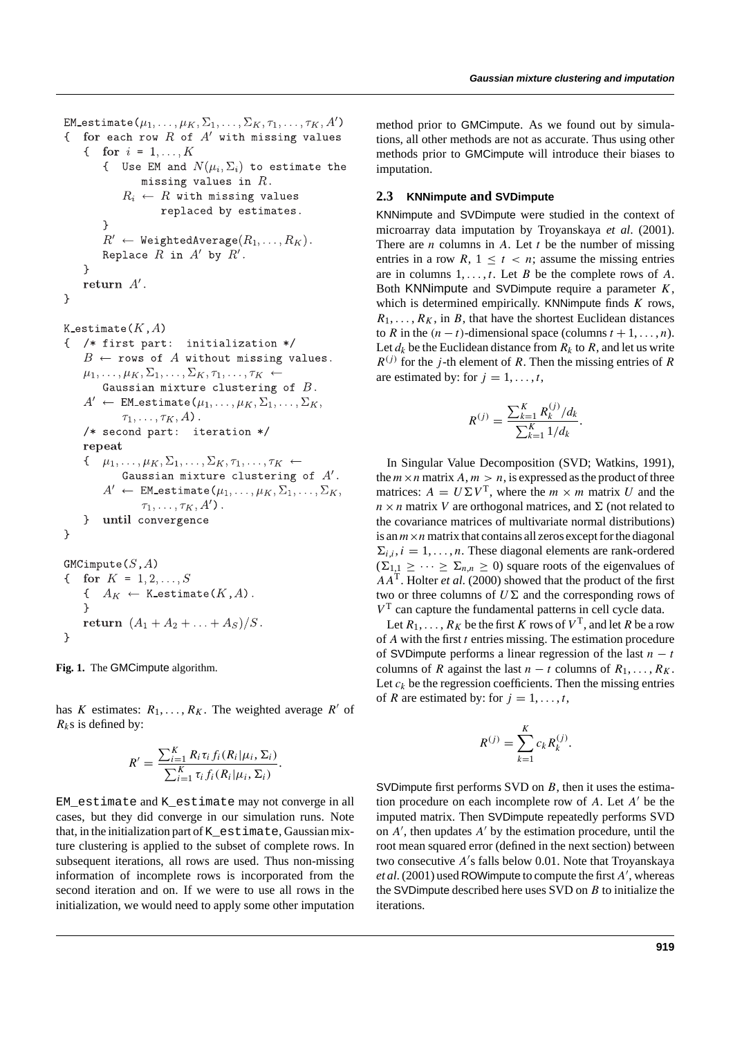EM\_estimate $(\mu_1,\ldots,\mu_K,\Sigma_1,\ldots,\Sigma_K,\tau_1,\ldots,\tau_K,A')$ { for each row  $R$  of  $A'$  with missing values { for  $i = 1, ..., K$ { Use EM and  $N(\mu_i, \Sigma_i)$  to estimate the missing values in  $R$ .  $R_i \leftarrow R$  with missing values replaced by estimates.  $\mathcal{L}$  $R' \leftarrow$  WeightedAverage $(R_1, \ldots, R_K)$ . Replace  $R$  in  $A'$  by  $R'$ .  $\mathcal{F}$ return  $A'$ .  $\mathcal{F}$  $K$ \_estimate $(K, A)$ { /\* first part: initialization \*/  $B \leftarrow$  rows of A without missing values.  $\mu_1,\ldots,\mu_K,\Sigma_1,\ldots,\Sigma_K,\tau_1,\ldots,\tau_K \leftarrow$ Gaussian mixture clustering of  $B$ .  $A' \leftarrow \texttt{EM\_estimate}(\mu_1, \ldots, \mu_K, \Sigma_1, \ldots, \Sigma_K,$  $\tau_1,\ldots,\tau_K,A$ . /\* second part: iteration \*/ repeat  $\{\mu_1,\ldots,\mu_K,\Sigma_1,\ldots,\Sigma_K,\tau_1,\ldots,\tau_K\rightleftharpoonup$ Gaussian mixture clustering of  $A'$ .  $A' \leftarrow \texttt{EM\_estimate}(\mu_1, \ldots, \mu_K, \Sigma_1, \ldots, \Sigma_K,$  $\tau_1,\ldots,\tau_K,A'$ ). until convergence ŀ  $\mathcal{F}$  $GMC$ impute $(S, A)$ { for  $K = 1, 2, ..., S$  $\{ A_K \leftarrow$  K\_estimate(K,A). J. return  $(A_1 + A_2 + ... + A_S)/S$ .

**Fig. 1.** The GMCimpute algorithm.

 $\mathcal{F}$ 

has *K* estimates:  $R_1, \ldots, R_K$ . The weighted average  $R'$  of  $R_k$ s is defined by:

$$
R' = \frac{\sum_{i=1}^{K} R_i \tau_i f_i(R_i | \mu_i, \Sigma_i)}{\sum_{i=1}^{K} \tau_i f_i(R_i | \mu_i, \Sigma_i)}.
$$

EM\_estimate and K\_estimate may not converge in all cases, but they did converge in our simulation runs. Note that, in the initialization part of K\_estimate, Gaussian mixture clustering is applied to the subset of complete rows. In subsequent iterations, all rows are used. Thus non-missing information of incomplete rows is incorporated from the second iteration and on. If we were to use all rows in the initialization, we would need to apply some other imputation

method prior to GMCimpute. As we found out by simulations, all other methods are not as accurate. Thus using other methods prior to GMCimpute will introduce their biases to imputation.

#### **2.3 KNNimpute and SVDimpute**

KNNimpute and SVDimpute were studied in the context of microarray data imputation by Troyanskaya *et al*. (2001). There are *n* columns in *A*. Let *t* be the number of missing entries in a row  $R$ ,  $1 \le t < n$ ; assume the missing entries are in columns 1, *...* , *t*. Let *B* be the complete rows of *A*. Both KNNimpute and SVDimpute require a parameter *K*, which is determined empirically. KNNimpute finds *K* rows,  $R_1, \ldots, R_K$ , in *B*, that have the shortest Euclidean distances to *R* in the  $(n - t)$ -dimensional space (columns  $t + 1, \ldots, n$ ). Let  $d_k$  be the Euclidean distance from  $R_k$  to  $R$ , and let us write  $R^{(j)}$  for the *j*-th element of *R*. Then the missing entries of *R* are estimated by: for  $j = 1, \ldots, t$ ,

$$
R^{(j)} = \frac{\sum_{k=1}^{K} R_k^{(j)}/d_k}{\sum_{k=1}^{K} 1/d_k}.
$$

In Singular Value Decomposition (SVD; Watkins, 1991), the  $m \times n$  matrix  $A, m > n$ , is expressed as the product of three matrices:  $A = U \Sigma V^{T}$ , where the  $m \times m$  matrix U and the  $n \times n$  matrix *V* are orthogonal matrices, and  $\Sigma$  (not related to the covariance matrices of multivariate normal distributions) is an  $m \times n$  matrix that contains all zeros except for the diagonal  $\Sigma_{i,i}$ ,  $i = 1, \ldots, n$ . These diagonal elements are rank-ordered  $(\Sigma_{1,1} \geq \cdots \geq \Sigma_{n,n} \geq 0)$  square roots of the eigenvalues of *AA*T. Holter *et al*. (2000) showed that the product of the first two or three columns of  $U\Sigma$  and the corresponding rows of  $V<sup>T</sup>$  can capture the fundamental patterns in cell cycle data.

Let  $R_1, \ldots, R_K$  be the first *K* rows of  $V^T$ , and let *R* be a row of *A* with the first *t* entries missing. The estimation procedure of SVDimpute performs a linear regression of the last *n* − *t* columns of *R* against the last  $n - t$  columns of  $R_1, \ldots, R_K$ . Let  $c_k$  be the regression coefficients. Then the missing entries of *R* are estimated by: for  $j = 1, \ldots, t$ ,

$$
R^{(j)} = \sum_{k=1}^{K} c_k R_k^{(j)}.
$$

SVDimpute first performs SVD on *B*, then it uses the estimation procedure on each incomplete row of *A*. Let *A* be the imputed matrix. Then SVDimpute repeatedly performs SVD on  $A'$ , then updates  $A'$  by the estimation procedure, until the root mean squared error (defined in the next section) between two consecutive *A* s falls below 0.01. Note that Troyanskaya *et al*. (2001) used ROWimpute to compute the first *A* , whereas the SVDimpute described here uses SVD on *B* to initialize the iterations.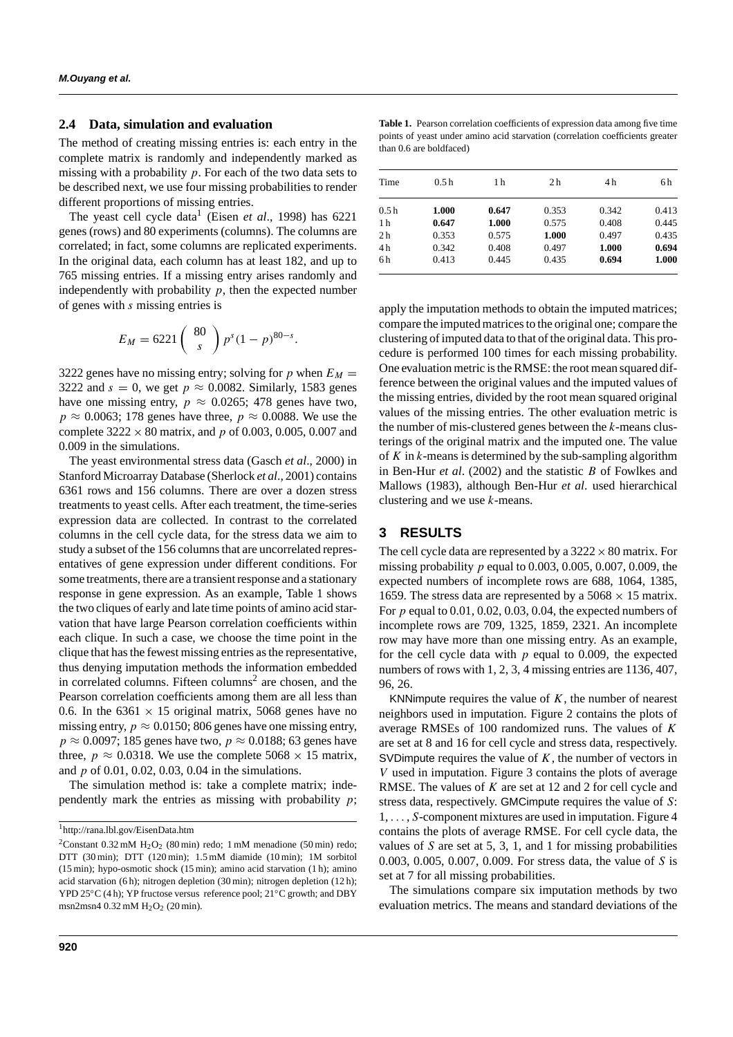#### **2.4 Data, simulation and evaluation**

The method of creating missing entries is: each entry in the complete matrix is randomly and independently marked as missing with a probability *p*. For each of the two data sets to be described next, we use four missing probabilities to render different proportions of missing entries.

The yeast cell cycle data<sup>1</sup> (Eisen *et al.*, 1998) has 6221 genes (rows) and 80 experiments (columns). The columns are correlated; in fact, some columns are replicated experiments. In the original data, each column has at least 182, and up to 765 missing entries. If a missing entry arises randomly and independently with probability  $p$ , then the expected number of genes with *s* missing entries is

$$
E_M = 6221 \left( \begin{array}{c} 80 \\ s \end{array} \right) p^s (1-p)^{80-s}.
$$

3222 genes have no missing entry; solving for  $p$  when  $E_M =$ 3222 and  $s = 0$ , we get  $p \approx 0.0082$ . Similarly, 1583 genes have one missing entry,  $p \approx 0.0265$ ; 478 genes have two,  $p \approx 0.0063$ ; 178 genes have three,  $p \approx 0.0088$ . We use the complete 3222 × 80 matrix, and *p* of 0.003, 0.005, 0.007 and 0.009 in the simulations.

The yeast environmental stress data (Gasch *et al*., 2000) in Stanford Microarray Database (Sherlock *et al*., 2001) contains 6361 rows and 156 columns. There are over a dozen stress treatments to yeast cells. After each treatment, the time-series expression data are collected. In contrast to the correlated columns in the cell cycle data, for the stress data we aim to study a subset of the 156 columns that are uncorrelated representatives of gene expression under different conditions. For some treatments, there are a transient response and a stationary response in gene expression. As an example, Table 1 shows the two cliques of early and late time points of amino acid starvation that have large Pearson correlation coefficients within each clique. In such a case, we choose the time point in the clique that has the fewest missing entries as the representative, thus denying imputation methods the information embedded in correlated columns. Fifteen columns<sup>2</sup> are chosen, and the Pearson correlation coefficients among them are all less than 0.6. In the 6361  $\times$  15 original matrix, 5068 genes have no missing entry,  $p \approx 0.0150$ ; 806 genes have one missing entry,  $p \approx 0.0097$ ; 185 genes have two,  $p \approx 0.0188$ ; 63 genes have three,  $p \approx 0.0318$ . We use the complete 5068  $\times$  15 matrix, and *p* of 0.01, 0.02, 0.03, 0.04 in the simulations.

The simulation method is: take a complete matrix; independently mark the entries as missing with probability *p*;

**Table 1.** Pearson correlation coefficients of expression data among five time points of yeast under amino acid starvation (correlation coefficients greater than 0.6 are boldfaced)

| Time           | 0.5 <sub>h</sub> | 1 h   | 2 <sub>h</sub> | 4 h   | 6 h   |
|----------------|------------------|-------|----------------|-------|-------|
| 0.5h           | 1.000            | 0.647 | 0.353          | 0.342 | 0.413 |
| 1 <sub>h</sub> | 0.647            | 1.000 | 0.575          | 0.408 | 0.445 |
| 2 <sub>h</sub> | 0.353            | 0.575 | 1.000          | 0.497 | 0.435 |
| 4h             | 0.342            | 0.408 | 0.497          | 1.000 | 0.694 |
| 6h             | 0.413            | 0.445 | 0.435          | 0.694 | 1.000 |

apply the imputation methods to obtain the imputed matrices; compare the imputed matrices to the original one; compare the clustering of imputed data to that of the original data. This procedure is performed 100 times for each missing probability. One evaluation metric is the RMSE: the root mean squared difference between the original values and the imputed values of the missing entries, divided by the root mean squared original values of the missing entries. The other evaluation metric is the number of mis-clustered genes between the *k*-means clusterings of the original matrix and the imputed one. The value of *K* in *k*-means is determined by the sub-sampling algorithm in Ben-Hur *et al*. (2002) and the statistic *B* of Fowlkes and Mallows (1983), although Ben-Hur *et al*. used hierarchical clustering and we use *k*-means.

## **3 RESULTS**

The cell cycle data are represented by a  $3222 \times 80$  matrix. For missing probability *p* equal to 0.003, 0.005, 0.007, 0.009, the expected numbers of incomplete rows are 688, 1064, 1385, 1659. The stress data are represented by a 5068  $\times$  15 matrix. For *p* equal to 0.01, 0.02, 0.03, 0.04, the expected numbers of incomplete rows are 709, 1325, 1859, 2321. An incomplete row may have more than one missing entry. As an example, for the cell cycle data with *p* equal to 0.009, the expected numbers of rows with 1, 2, 3, 4 missing entries are 1136, 407, 96, 26.

KNNimpute requires the value of *K*, the number of nearest neighbors used in imputation. Figure 2 contains the plots of average RMSEs of 100 randomized runs. The values of *K* are set at 8 and 16 for cell cycle and stress data, respectively. SVDimpute requires the value of *K*, the number of vectors in *V* used in imputation. Figure 3 contains the plots of average RMSE. The values of *K* are set at 12 and 2 for cell cycle and stress data, respectively. GMCimpute requires the value of *S*: 1, *...* , *S*-component mixtures are used in imputation. Figure 4 contains the plots of average RMSE. For cell cycle data, the values of *S* are set at 5, 3, 1, and 1 for missing probabilities 0.003, 0.005, 0.007, 0.009. For stress data, the value of *S* is set at 7 for all missing probabilities.

The simulations compare six imputation methods by two evaluation metrics. The means and standard deviations of the

<sup>1</sup>http://rana.lbl.gov/EisenData.htm

<sup>&</sup>lt;sup>2</sup>Constant 0.32 mM  $H_2O_2$  (80 min) redo; 1 mM menadione (50 min) redo; DTT (30 min); DTT (120 min); 1.5 mM diamide (10 min); 1M sorbitol (15 min); hypo-osmotic shock (15 min); amino acid starvation (1 h); amino acid starvation (6h); nitrogen depletion (30 min); nitrogen depletion (12 h); YPD 25◦C (4 h); YP fructose versus reference pool; 21◦C growth; and DBY msn2msn4 0.32 mM H<sub>2</sub>O<sub>2</sub> (20 min).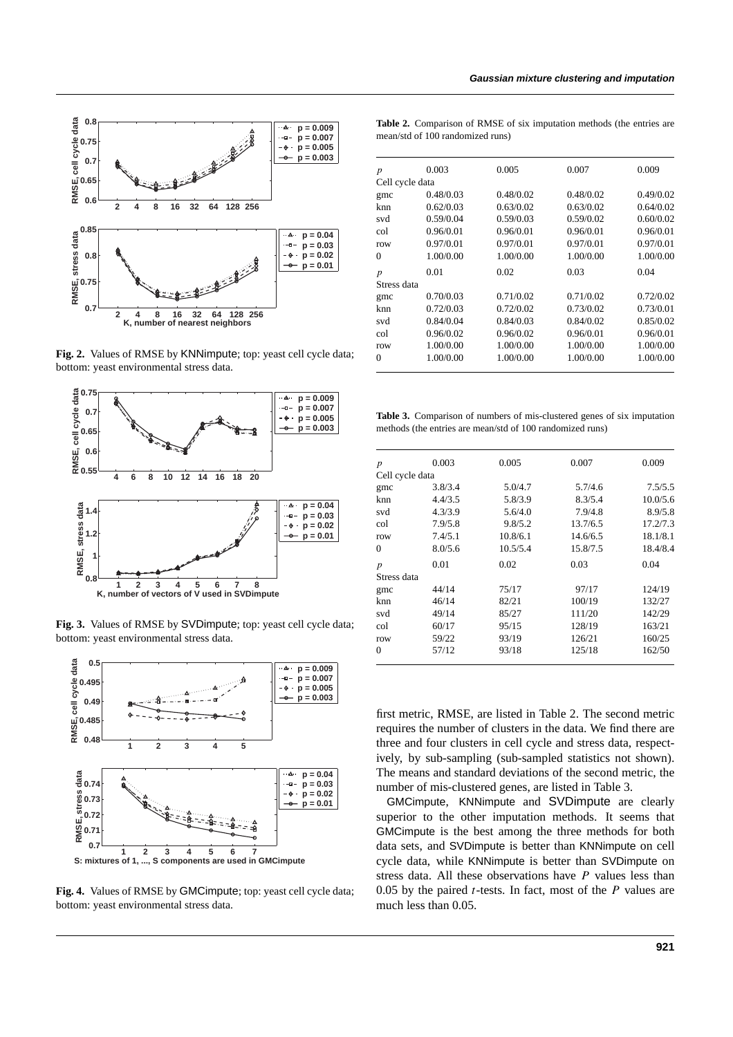

**Fig. 2.** Values of RMSE by KNNimpute; top: yeast cell cycle data; bottom: yeast environmental stress data.



**Fig. 3.** Values of RMSE by SVDimpute; top: yeast cell cycle data; bottom: yeast environmental stress data.



**Fig. 4.** Values of RMSE by GMCimpute; top: yeast cell cycle data; bottom: yeast environmental stress data.

**Table 2.** Comparison of RMSE of six imputation methods (the entries are mean/std of 100 randomized runs)

| $\boldsymbol{p}$ | 0.003     | 0.005     | 0.007     | 0.009     |
|------------------|-----------|-----------|-----------|-----------|
| Cell cycle data  |           |           |           |           |
| gmc              | 0.48/0.03 | 0.48/0.02 | 0.48/0.02 | 0.49/0.02 |
| knn              | 0.62/0.03 | 0.63/0.02 | 0.63/0.02 | 0.64/0.02 |
| svd              | 0.59/0.04 | 0.59/0.03 | 0.59/0.02 | 0.60/0.02 |
| col              | 0.96/0.01 | 0.96/0.01 | 0.96/0.01 | 0.96/0.01 |
| row              | 0.97/0.01 | 0.97/0.01 | 0.97/0.01 | 0.97/0.01 |
| $\Omega$         | 1.00/0.00 | 1.00/0.00 | 1.00/0.00 | 1.00/0.00 |
| $\boldsymbol{p}$ | 0.01      | 0.02      | 0.03      | 0.04      |
| Stress data      |           |           |           |           |
| gmc              | 0.70/0.03 | 0.71/0.02 | 0.71/0.02 | 0.72/0.02 |
| knn              | 0.72/0.03 | 0.72/0.02 | 0.73/0.02 | 0.73/0.01 |
| svd              | 0.84/0.04 | 0.84/0.03 | 0.84/0.02 | 0.85/0.02 |
| col              | 0.96/0.02 | 0.96/0.02 | 0.96/0.01 | 0.96/0.01 |
| row              | 1.00/0.00 | 1.00/0.00 | 1.00/0.00 | 1.00/0.00 |
| $\theta$         | 1.00/0.00 | 1.00/0.00 | 1.00/0.00 | 1.00/0.00 |
|                  |           |           |           |           |

**Table 3.** Comparison of numbers of mis-clustered genes of six imputation methods (the entries are mean/std of 100 randomized runs)

| $\boldsymbol{p}$ | 0.003   | 0.005    | 0.007    | 0.009    |
|------------------|---------|----------|----------|----------|
| Cell cycle data  |         |          |          |          |
| gmc              | 3.8/3.4 | 5.0/4.7  | 5.7/4.6  | 7.5/5.5  |
| knn              | 4.4/3.5 | 5.8/3.9  | 8.3/5.4  | 10.0/5.6 |
| svd              | 4.3/3.9 | 5.6/4.0  | 7.9/4.8  | 8.9/5.8  |
| col              | 7.9/5.8 | 9.8/5.2  | 13.7/6.5 | 17.2/7.3 |
| row              | 7.4/5.1 | 10.8/6.1 | 14.6/6.5 | 18.1/8.1 |
| 0                | 8.0/5.6 | 10.5/5.4 | 15.8/7.5 | 18.4/8.4 |
| $\boldsymbol{p}$ | 0.01    | 0.02     | 0.03     | 0.04     |
| Stress data      |         |          |          |          |
| gmc              | 44/14   | 75/17    | 97/17    | 124/19   |
| knn              | 46/14   | 82/21    | 100/19   | 132/27   |
| svd              | 49/14   | 85/27    | 111/20   | 142/29   |
| col              | 60/17   | 95/15    | 128/19   | 163/21   |
| row              | 59/22   | 93/19    | 126/21   | 160/25   |
| 0                | 57/12   | 93/18    | 125/18   | 162/50   |
|                  |         |          |          |          |

first metric, RMSE, are listed in Table 2. The second metric requires the number of clusters in the data. We find there are three and four clusters in cell cycle and stress data, respectively, by sub-sampling (sub-sampled statistics not shown). The means and standard deviations of the second metric, the number of mis-clustered genes, are listed in Table 3.

GMCimpute, KNNimpute and SVDimpute are clearly superior to the other imputation methods. It seems that GMCimpute is the best among the three methods for both data sets, and SVDimpute is better than KNNimpute on cell cycle data, while KNNimpute is better than SVDimpute on stress data. All these observations have *P* values less than 0.05 by the paired *t*-tests. In fact, most of the *P* values are much less than 0.05.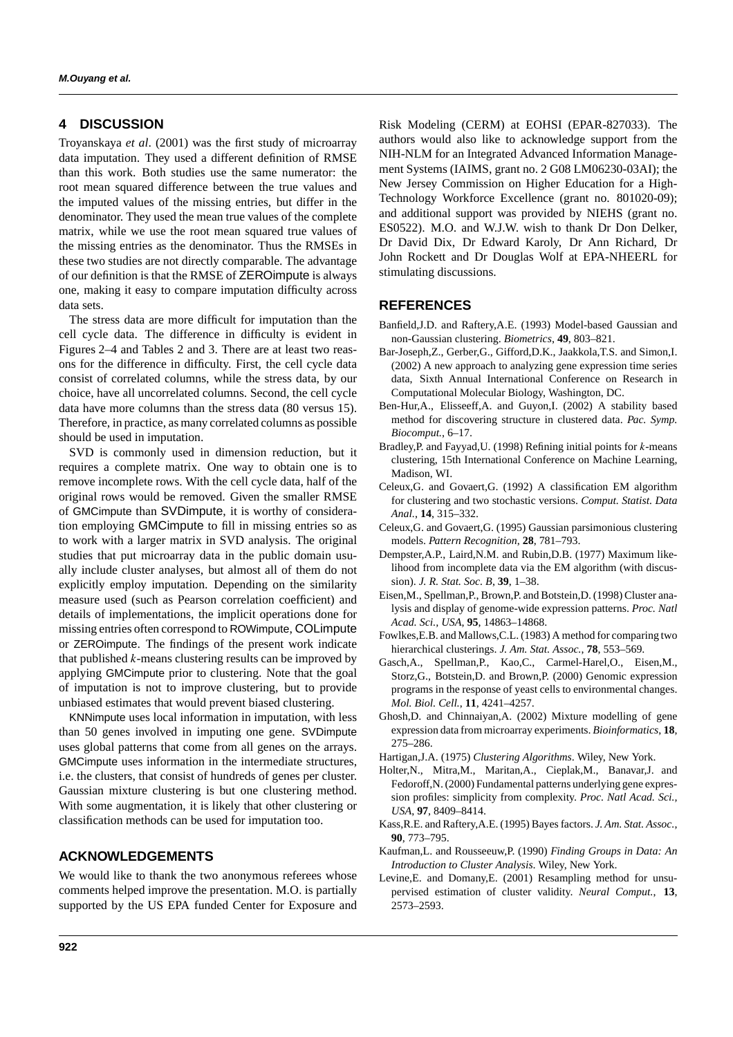## **4 DISCUSSION**

Troyanskaya *et al*. (2001) was the first study of microarray data imputation. They used a different definition of RMSE than this work. Both studies use the same numerator: the root mean squared difference between the true values and the imputed values of the missing entries, but differ in the denominator. They used the mean true values of the complete matrix, while we use the root mean squared true values of the missing entries as the denominator. Thus the RMSEs in these two studies are not directly comparable. The advantage of our definition is that the RMSE of ZEROimpute is always one, making it easy to compare imputation difficulty across data sets.

The stress data are more difficult for imputation than the cell cycle data. The difference in difficulty is evident in Figures 2–4 and Tables 2 and 3. There are at least two reasons for the difference in difficulty. First, the cell cycle data consist of correlated columns, while the stress data, by our choice, have all uncorrelated columns. Second, the cell cycle data have more columns than the stress data (80 versus 15). Therefore, in practice, as many correlated columns as possible should be used in imputation.

SVD is commonly used in dimension reduction, but it requires a complete matrix. One way to obtain one is to remove incomplete rows. With the cell cycle data, half of the original rows would be removed. Given the smaller RMSE of GMCimpute than SVDimpute, it is worthy of consideration employing GMCimpute to fill in missing entries so as to work with a larger matrix in SVD analysis. The original studies that put microarray data in the public domain usually include cluster analyses, but almost all of them do not explicitly employ imputation. Depending on the similarity measure used (such as Pearson correlation coefficient) and details of implementations, the implicit operations done for missing entries often correspond to ROWimpute, COLimpute or ZEROimpute. The findings of the present work indicate that published *k*-means clustering results can be improved by applying GMCimpute prior to clustering. Note that the goal of imputation is not to improve clustering, but to provide unbiased estimates that would prevent biased clustering.

KNNimpute uses local information in imputation, with less than 50 genes involved in imputing one gene. SVDimpute uses global patterns that come from all genes on the arrays. GMCimpute uses information in the intermediate structures, i.e. the clusters, that consist of hundreds of genes per cluster. Gaussian mixture clustering is but one clustering method. With some augmentation, it is likely that other clustering or classification methods can be used for imputation too.

# **ACKNOWLEDGEMENTS**

We would like to thank the two anonymous referees whose comments helped improve the presentation. M.O. is partially supported by the US EPA funded Center for Exposure and Risk Modeling (CERM) at EOHSI (EPAR-827033). The authors would also like to acknowledge support from the NIH-NLM for an Integrated Advanced Information Management Systems (IAIMS, grant no. 2 G08 LM06230-03AI); the New Jersey Commission on Higher Education for a High-Technology Workforce Excellence (grant no. 801020-09); and additional support was provided by NIEHS (grant no. ES0522). M.O. and W.J.W. wish to thank Dr Don Delker, Dr David Dix, Dr Edward Karoly, Dr Ann Richard, Dr John Rockett and Dr Douglas Wolf at EPA-NHEERL for stimulating discussions.

## **REFERENCES**

- Banfield,J.D. and Raftery,A.E. (1993) Model-based Gaussian and non-Gaussian clustering. *Biometrics*, **49**, 803–821.
- Bar-Joseph,Z., Gerber,G., Gifford,D.K., Jaakkola,T.S. and Simon,I. (2002) A new approach to analyzing gene expression time series data, Sixth Annual International Conference on Research in Computational Molecular Biology, Washington, DC.
- Ben-Hur,A., Elisseeff,A. and Guyon,I. (2002) A stability based method for discovering structure in clustered data. *Pac. Symp. Biocomput.*, 6–17.
- Bradley,P. and Fayyad,U. (1998) Refining initial points for *k*-means clustering, 15th International Conference on Machine Learning, Madison, WI.
- Celeux,G. and Govaert,G. (1992) A classification EM algorithm for clustering and two stochastic versions. *Comput. Statist. Data Anal.*, **14**, 315–332.
- Celeux,G. and Govaert,G. (1995) Gaussian parsimonious clustering models. *Pattern Recognition*, **28**, 781–793.
- Dempster,A.P., Laird,N.M. and Rubin,D.B. (1977) Maximum likelihood from incomplete data via the EM algorithm (with discussion). *J. R. Stat. Soc. B*, **39**, 1–38.
- Eisen,M., Spellman,P., Brown,P. and Botstein,D. (1998) Cluster analysis and display of genome-wide expression patterns. *Proc. Natl Acad. Sci., USA*, **95**, 14863–14868.
- Fowlkes,E.B. and Mallows,C.L. (1983) A method for comparing two hierarchical clusterings. *J. Am. Stat. Assoc.*, **78**, 553–569.
- Gasch,A., Spellman,P., Kao,C., Carmel-Harel,O., Eisen,M., Storz,G., Botstein,D. and Brown,P. (2000) Genomic expression programs in the response of yeast cells to environmental changes. *Mol. Biol. Cell.*, **11**, 4241–4257.
- Ghosh,D. and Chinnaiyan,A. (2002) Mixture modelling of gene expression data from microarray experiments. *Bioinformatics*, **18**, 275–286.
- Hartigan,J.A. (1975) *Clustering Algorithms*. Wiley, New York.
- Holter,N., Mitra,M., Maritan,A., Cieplak,M., Banavar,J. and Fedoroff,N. (2000) Fundamental patterns underlying gene expression profiles: simplicity from complexity. *Proc. Natl Acad. Sci., USA*, **97**, 8409–8414.
- Kass,R.E. and Raftery,A.E. (1995) Bayes factors. *J. Am. Stat. Assoc.*, **90**, 773–795.
- Kaufman,L. and Rousseeuw,P. (1990) *Finding Groups in Data: An Introduction to Cluster Analysis*. Wiley, New York.
- Levine,E. and Domany,E. (2001) Resampling method for unsupervised estimation of cluster validity. *Neural Comput.*, **13**, 2573–2593.